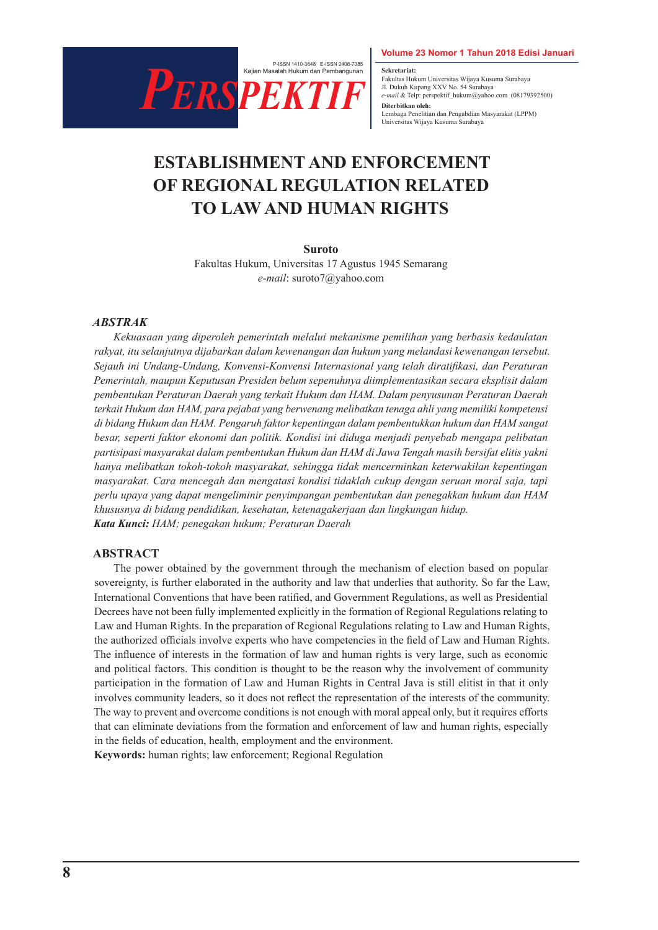

**Sekretariat:** Fakultas Hukum Universitas Wijaya Kusuma Surabaya Jl. Dukuh Kupang XXV No. 54 Surabaya *e-mail* & Telp: perspektif\_hukum@yahoo.com (08179392500) **Diterbitkan oleh:** Lembaga Penelitian dan Pengabdian Masyarakat (LPPM) Universitas Wijaya Kusuma Surabaya

# **ESTABLISHMENT AND ENFORCEMENT OF REGIONAL REGULATION RELATED TO LAW AND HUMAN RIGHTS**

#### **Suroto**

Fakultas Hukum, Universitas 17 Agustus 1945 Semarang *e-mail*: suroto7@yahoo.com

#### *ABSTRAK*

*Kekuasaan yang diperoleh pemerintah melalui mekanisme pemilihan yang berbasis kedaulatan rakyat, itu selanjutnya dijabarkan dalam kewenangan dan hukum yang melandasi kewenangan tersebut. Sejauh ini Undang-Undang, Konvensi-Konvensi Internasional yang telah diratifikasi, dan Peraturan Pemerintah, maupun Keputusan Presiden belum sepenuhnya diimplementasikan secara eksplisit dalam pembentukan Peraturan Daerah yang terkait Hukum dan HAM. Dalam penyusunan Peraturan Daerah terkait Hukum dan HAM, para pejabat yang berwenang melibatkan tenaga ahli yang memiliki kompetensi di bidang Hukum dan HAM. Pengaruh faktor kepentingan dalam pembentukkan hukum dan HAM sangat besar, seperti faktor ekonomi dan politik. Kondisi ini diduga menjadi penyebab mengapa pelibatan partisipasi masyarakat dalam pembentukan Hukum dan HAM di Jawa Tengah masih bersifat elitis yakni hanya melibatkan tokoh-tokoh masyarakat, sehingga tidak mencerminkan keterwakilan kepentingan masyarakat. Cara mencegah dan mengatasi kondisi tidaklah cukup dengan seruan moral saja, tapi perlu upaya yang dapat mengeliminir penyimpangan pembentukan dan penegakkan hukum dan HAM khususnya di bidang pendidikan, kesehatan, ketenagakerjaan dan lingkungan hidup. Kata Kunci: HAM; penegakan hukum; Peraturan Daerah*

#### **ABSTRACT**

The power obtained by the government through the mechanism of election based on popular sovereignty, is further elaborated in the authority and law that underlies that authority. So far the Law, International Conventions that have been ratified, and Government Regulations, as well as Presidential Decrees have not been fully implemented explicitly in the formation of Regional Regulations relating to Law and Human Rights. In the preparation of Regional Regulations relating to Law and Human Rights, the authorized officials involve experts who have competencies in the field of Law and Human Rights. The influence of interests in the formation of law and human rights is very large, such as economic and political factors. This condition is thought to be the reason why the involvement of community participation in the formation of Law and Human Rights in Central Java is still elitist in that it only involves community leaders, so it does not reflect the representation of the interests of the community. The way to prevent and overcome conditions is not enough with moral appeal only, but it requires efforts that can eliminate deviations from the formation and enforcement of law and human rights, especially in the fields of education, health, employment and the environment.

**Keywords:** human rights; law enforcement; Regional Regulation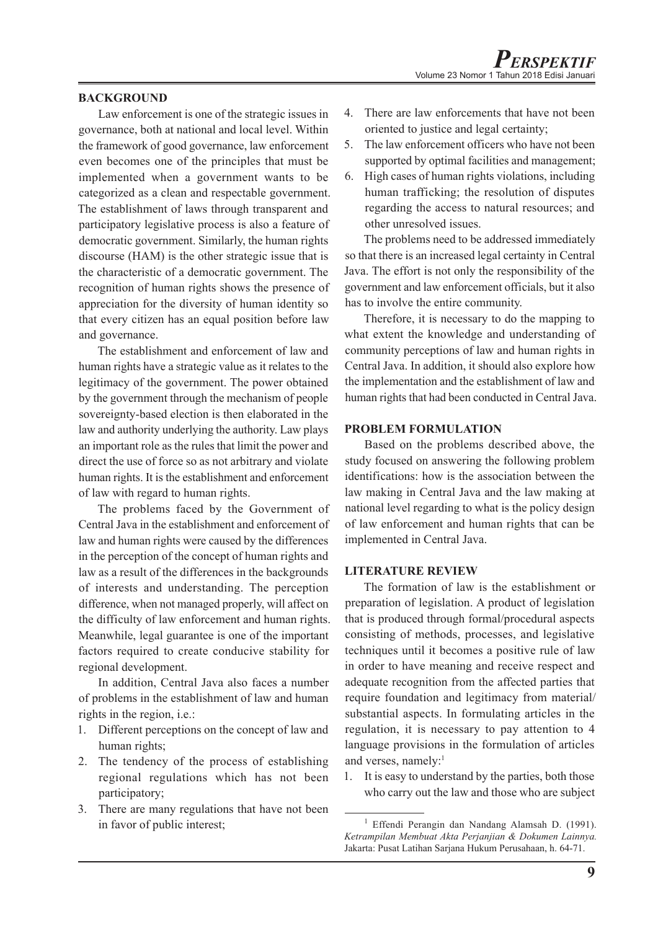## **BACKGROUND**

Law enforcement is one of the strategic issues in governance, both at national and local level. Within the framework of good governance, law enforcement even becomes one of the principles that must be implemented when a government wants to be categorized as a clean and respectable government. The establishment of laws through transparent and participatory legislative process is also a feature of democratic government. Similarly, the human rights discourse (HAM) is the other strategic issue that is the characteristic of a democratic government. The recognition of human rights shows the presence of appreciation for the diversity of human identity so that every citizen has an equal position before law and governance.

The establishment and enforcement of law and human rights have a strategic value as it relates to the legitimacy of the government. The power obtained by the government through the mechanism of people sovereignty-based election is then elaborated in the law and authority underlying the authority. Law plays an important role as the rules that limit the power and direct the use of force so as not arbitrary and violate human rights. It is the establishment and enforcement of law with regard to human rights.

The problems faced by the Government of Central Java in the establishment and enforcement of law and human rights were caused by the differences in the perception of the concept of human rights and law as a result of the differences in the backgrounds of interests and understanding. The perception difference, when not managed properly, will affect on the difficulty of law enforcement and human rights. Meanwhile, legal guarantee is one of the important factors required to create conducive stability for regional development.

In addition, Central Java also faces a number of problems in the establishment of law and human rights in the region, i.e.:

- 1. Different perceptions on the concept of law and human rights;
- 2. The tendency of the process of establishing regional regulations which has not been participatory;
- 3. There are many regulations that have not been in favor of public interest;
- 4. There are law enforcements that have not been oriented to justice and legal certainty;
- 5. The law enforcement officers who have not been supported by optimal facilities and management;
- 6. High cases of human rights violations, including human trafficking; the resolution of disputes regarding the access to natural resources; and other unresolved issues.

The problems need to be addressed immediately so that there is an increased legal certainty in Central Java. The effort is not only the responsibility of the government and law enforcement officials, but it also has to involve the entire community.

Therefore, it is necessary to do the mapping to what extent the knowledge and understanding of community perceptions of law and human rights in Central Java. In addition, it should also explore how the implementation and the establishment of law and human rights that had been conducted in Central Java.

### **PROBLEM FORMULATION**

Based on the problems described above, the study focused on answering the following problem identifications: how is the association between the law making in Central Java and the law making at national level regarding to what is the policy design of law enforcement and human rights that can be implemented in Central Java.

### **LITERATURE REVIEW**

The formation of law is the establishment or preparation of legislation. A product of legislation that is produced through formal/procedural aspects consisting of methods, processes, and legislative techniques until it becomes a positive rule of law in order to have meaning and receive respect and adequate recognition from the affected parties that require foundation and legitimacy from material/ substantial aspects. In formulating articles in the regulation, it is necessary to pay attention to 4 language provisions in the formulation of articles and verses, namely:<sup>1</sup>

1. It is easy to understand by the parties, both those who carry out the law and those who are subject

<sup>&</sup>lt;sup>1</sup> Effendi Perangin dan Nandang Alamsah D. (1991). *Ketrampilan Membuat Akta Perjanjian & Dokumen Lainnya.* Jakarta: Pusat Latihan Sarjana Hukum Perusahaan, h. 64-71.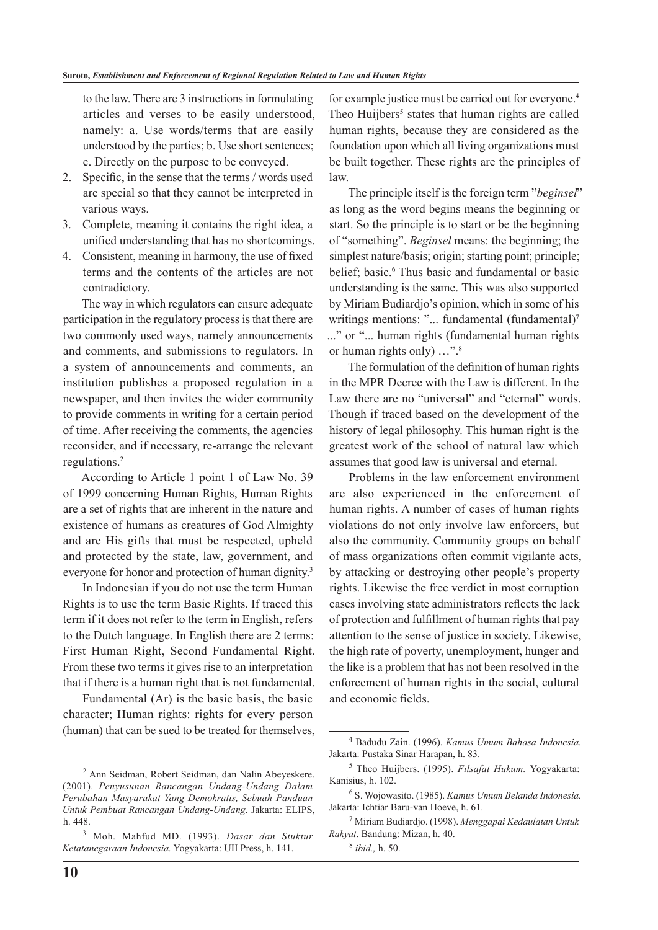to the law. There are 3 instructions in formulating articles and verses to be easily understood, namely: a. Use words/terms that are easily understood by the parties; b. Use short sentences; c. Directly on the purpose to be conveyed.

- 2. Specific, in the sense that the terms / words used are special so that they cannot be interpreted in various ways.
- 3. Complete, meaning it contains the right idea, a unified understanding that has no shortcomings.
- 4. Consistent, meaning in harmony, the use of fixed terms and the contents of the articles are not contradictory.

The way in which regulators can ensure adequate participation in the regulatory process is that there are two commonly used ways, namely announcements and comments, and submissions to regulators. In a system of announcements and comments, an institution publishes a proposed regulation in a newspaper, and then invites the wider community to provide comments in writing for a certain period of time. After receiving the comments, the agencies reconsider, and if necessary, re-arrange the relevant regulations.2

According to Article 1 point 1 of Law No. 39 of 1999 concerning Human Rights, Human Rights are a set of rights that are inherent in the nature and existence of humans as creatures of God Almighty and are His gifts that must be respected, upheld and protected by the state, law, government, and everyone for honor and protection of human dignity.<sup>3</sup>

In Indonesian if you do not use the term Human Rights is to use the term Basic Rights. If traced this term if it does not refer to the term in English, refers to the Dutch language. In English there are 2 terms: First Human Right, Second Fundamental Right. From these two terms it gives rise to an interpretation that if there is a human right that is not fundamental.

Fundamental (Ar) is the basic basis, the basic character; Human rights: rights for every person (human) that can be sued to be treated for themselves, for example justice must be carried out for everyone.<sup>4</sup> Theo Huijbers<sup>5</sup> states that human rights are called human rights, because they are considered as the foundation upon which all living organizations must be built together. These rights are the principles of law.

The principle itself is the foreign term "*beginsel*" as long as the word begins means the beginning or start. So the principle is to start or be the beginning of "something". *Beginsel* means: the beginning; the simplest nature/basis; origin; starting point; principle; belief; basic.<sup>6</sup> Thus basic and fundamental or basic understanding is the same. This was also supported by Miriam Budiardjo's opinion, which in some of his writings mentions: "... fundamental (fundamental)<sup>7</sup> ..." or "... human rights (fundamental human rights or human rights only) ...".<sup>8</sup>

The formulation of the definition of human rights in the MPR Decree with the Law is different. In the Law there are no "universal" and "eternal" words. Though if traced based on the development of the history of legal philosophy. This human right is the greatest work of the school of natural law which assumes that good law is universal and eternal.

Problems in the law enforcement environment are also experienced in the enforcement of human rights. A number of cases of human rights violations do not only involve law enforcers, but also the community. Community groups on behalf of mass organizations often commit vigilante acts, by attacking or destroying other people's property rights. Likewise the free verdict in most corruption cases involving state administrators reflects the lack of protection and fulfillment of human rights that pay attention to the sense of justice in society. Likewise, the high rate of poverty, unemployment, hunger and the like is a problem that has not been resolved in the enforcement of human rights in the social, cultural and economic fields.

<sup>2</sup> Ann Seidman, Robert Seidman, dan Nalin Abeyeskere. (2001). *Penyusunan Rancangan Undang-Undang Dalam Perubahan Masyarakat Yang Demokratis, Sebuah Panduan Untuk Pembuat Rancangan Undang-Undang*. Jakarta: ELIPS, h. 448.

<sup>3</sup> Moh. Mahfud MD. (1993). *Dasar dan Stuktur Ketatanegaraan Indonesia.* Yogyakarta: UII Press, h. 141.

<sup>4</sup> Badudu Zain. (1996). *Kamus Umum Bahasa Indonesia.* Jakarta: Pustaka Sinar Harapan, h. 83.

<sup>5</sup> Theo Huijbers. (1995). *Filsafat Hukum.* Yogyakarta: Kanisius, h. 102.

<sup>6</sup> S. Wojowasito. (1985). *Kamus Umum Belanda Indonesia.* Jakarta: Ichtiar Baru-van Hoeve, h. 61.

<sup>7</sup> Miriam Budiardjo. (1998). *Menggapai Kedaulatan Untuk Rakyat*. Bandung: Mizan, h. 40.

<sup>8</sup>  *ibid.,* h. 50.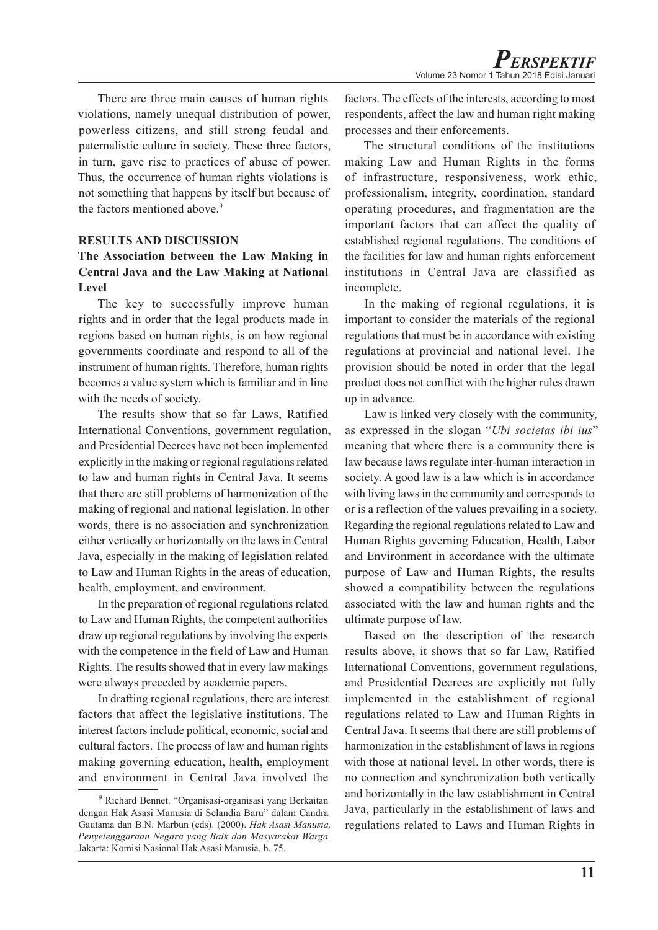There are three main causes of human rights violations, namely unequal distribution of power, powerless citizens, and still strong feudal and paternalistic culture in society. These three factors, in turn, gave rise to practices of abuse of power. Thus, the occurrence of human rights violations is not something that happens by itself but because of the factors mentioned above.<sup>9</sup>

### **RESULTS AND DISCUSSION**

## **The Association between the Law Making in Central Java and the Law Making at National Level**

The key to successfully improve human rights and in order that the legal products made in regions based on human rights, is on how regional governments coordinate and respond to all of the instrument of human rights. Therefore, human rights becomes a value system which is familiar and in line with the needs of society.

The results show that so far Laws, Ratified International Conventions, government regulation, and Presidential Decrees have not been implemented explicitly in the making or regional regulations related to law and human rights in Central Java. It seems that there are still problems of harmonization of the making of regional and national legislation. In other words, there is no association and synchronization either vertically or horizontally on the laws in Central Java, especially in the making of legislation related to Law and Human Rights in the areas of education, health, employment, and environment.

In the preparation of regional regulations related to Law and Human Rights, the competent authorities draw up regional regulations by involving the experts with the competence in the field of Law and Human Rights. The results showed that in every law makings were always preceded by academic papers.

In drafting regional regulations, there are interest factors that affect the legislative institutions. The interest factors include political, economic, social and cultural factors. The process of law and human rights making governing education, health, employment and environment in Central Java involved the factors. The effects of the interests, according to most respondents, affect the law and human right making processes and their enforcements.

The structural conditions of the institutions making Law and Human Rights in the forms of infrastructure, responsiveness, work ethic, professionalism, integrity, coordination, standard operating procedures, and fragmentation are the important factors that can affect the quality of established regional regulations. The conditions of the facilities for law and human rights enforcement institutions in Central Java are classified as incomplete.

In the making of regional regulations, it is important to consider the materials of the regional regulations that must be in accordance with existing regulations at provincial and national level. The provision should be noted in order that the legal product does not conflict with the higher rules drawn up in advance.

Law is linked very closely with the community, as expressed in the slogan "*Ubi societas ibi ius*" meaning that where there is a community there is law because laws regulate inter-human interaction in society. A good law is a law which is in accordance with living laws in the community and corresponds to or is a reflection of the values prevailing in a society. Regarding the regional regulations related to Law and Human Rights governing Education, Health, Labor and Environment in accordance with the ultimate purpose of Law and Human Rights, the results showed a compatibility between the regulations associated with the law and human rights and the ultimate purpose of law.

Based on the description of the research results above, it shows that so far Law, Ratified International Conventions, government regulations, and Presidential Decrees are explicitly not fully implemented in the establishment of regional regulations related to Law and Human Rights in Central Java. It seems that there are still problems of harmonization in the establishment of laws in regions with those at national level. In other words, there is no connection and synchronization both vertically and horizontally in the law establishment in Central Java, particularly in the establishment of laws and regulations related to Laws and Human Rights in

<sup>9</sup> Richard Bennet. "Organisasi-organisasi yang Berkaitan dengan Hak Asasi Manusia di Selandia Baru" dalam Candra Gautama dan B.N. Marbun (eds). (2000). *Hak Asasi Manusia, Penyelenggaraan Negara yang Baik dan Masyarakat Warga.*  Jakarta: Komisi Nasional Hak Asasi Manusia, h. 75.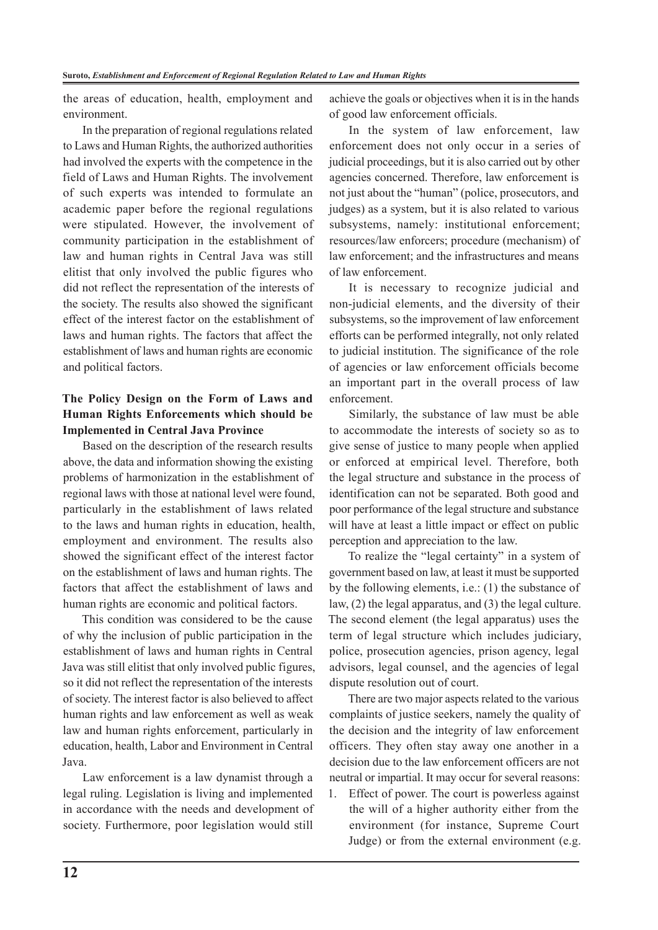the areas of education, health, employment and environment.

In the preparation of regional regulations related to Laws and Human Rights, the authorized authorities had involved the experts with the competence in the field of Laws and Human Rights. The involvement of such experts was intended to formulate an academic paper before the regional regulations were stipulated. However, the involvement of community participation in the establishment of law and human rights in Central Java was still elitist that only involved the public figures who did not reflect the representation of the interests of the society. The results also showed the significant effect of the interest factor on the establishment of laws and human rights. The factors that affect the establishment of laws and human rights are economic and political factors.

## **The Policy Design on the Form of Laws and Human Rights Enforcements which should be Implemented in Central Java Province**

Based on the description of the research results above, the data and information showing the existing problems of harmonization in the establishment of regional laws with those at national level were found, particularly in the establishment of laws related to the laws and human rights in education, health, employment and environment. The results also showed the significant effect of the interest factor on the establishment of laws and human rights. The factors that affect the establishment of laws and human rights are economic and political factors.

This condition was considered to be the cause of why the inclusion of public participation in the establishment of laws and human rights in Central Java was still elitist that only involved public figures, so it did not reflect the representation of the interests of society. The interest factor is also believed to affect human rights and law enforcement as well as weak law and human rights enforcement, particularly in education, health, Labor and Environment in Central Java.

Law enforcement is a law dynamist through a legal ruling. Legislation is living and implemented in accordance with the needs and development of society. Furthermore, poor legislation would still

achieve the goals or objectives when it is in the hands of good law enforcement officials.

In the system of law enforcement, law enforcement does not only occur in a series of judicial proceedings, but it is also carried out by other agencies concerned. Therefore, law enforcement is not just about the "human" (police, prosecutors, and judges) as a system, but it is also related to various subsystems, namely: institutional enforcement; resources/law enforcers; procedure (mechanism) of law enforcement; and the infrastructures and means of law enforcement.

It is necessary to recognize judicial and non-judicial elements, and the diversity of their subsystems, so the improvement of law enforcement efforts can be performed integrally, not only related to judicial institution. The significance of the role of agencies or law enforcement officials become an important part in the overall process of law enforcement.

Similarly, the substance of law must be able to accommodate the interests of society so as to give sense of justice to many people when applied or enforced at empirical level. Therefore, both the legal structure and substance in the process of identification can not be separated. Both good and poor performance of the legal structure and substance will have at least a little impact or effect on public perception and appreciation to the law.

To realize the "legal certainty" in a system of government based on law, at least it must be supported by the following elements, i.e.: (1) the substance of law, (2) the legal apparatus, and (3) the legal culture. The second element (the legal apparatus) uses the term of legal structure which includes judiciary, police, prosecution agencies, prison agency, legal advisors, legal counsel, and the agencies of legal dispute resolution out of court.

There are two major aspects related to the various complaints of justice seekers, namely the quality of the decision and the integrity of law enforcement officers. They often stay away one another in a decision due to the law enforcement officers are not neutral or impartial. It may occur for several reasons:

1. Effect of power. The court is powerless against the will of a higher authority either from the environment (for instance, Supreme Court Judge) or from the external environment (e.g.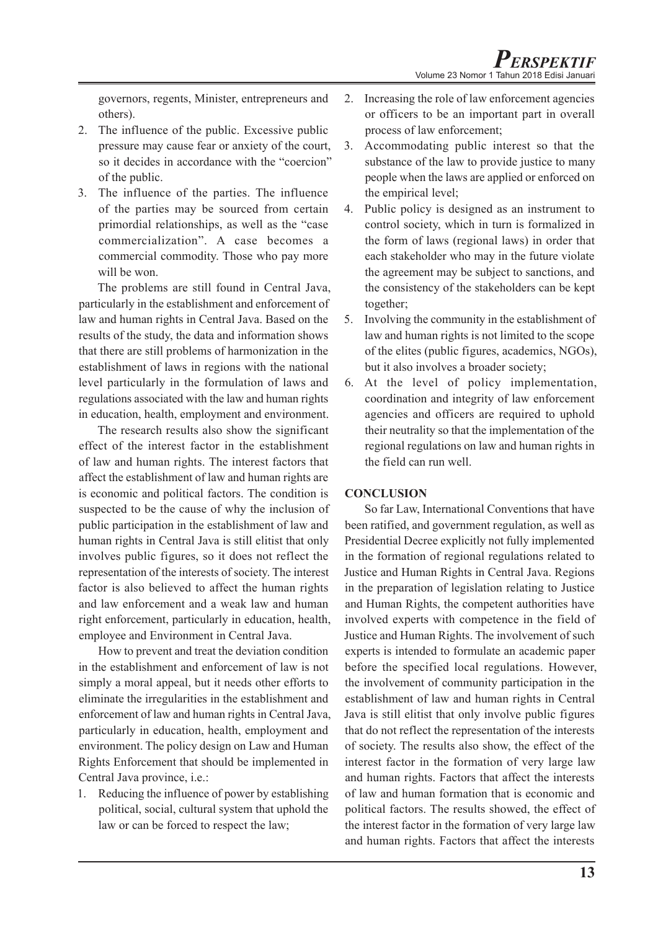governors, regents, Minister, entrepreneurs and others).

- 2. The influence of the public. Excessive public pressure may cause fear or anxiety of the court, so it decides in accordance with the "coercion" of the public.
- 3. The influence of the parties. The influence of the parties may be sourced from certain primordial relationships, as well as the "case commercialization". A case becomes a commercial commodity. Those who pay more will be won.

The problems are still found in Central Java, particularly in the establishment and enforcement of law and human rights in Central Java. Based on the results of the study, the data and information shows that there are still problems of harmonization in the establishment of laws in regions with the national level particularly in the formulation of laws and regulations associated with the law and human rights in education, health, employment and environment.

The research results also show the significant effect of the interest factor in the establishment of law and human rights. The interest factors that affect the establishment of law and human rights are is economic and political factors. The condition is suspected to be the cause of why the inclusion of public participation in the establishment of law and human rights in Central Java is still elitist that only involves public figures, so it does not reflect the representation of the interests of society. The interest factor is also believed to affect the human rights and law enforcement and a weak law and human right enforcement, particularly in education, health, employee and Environment in Central Java.

How to prevent and treat the deviation condition in the establishment and enforcement of law is not simply a moral appeal, but it needs other efforts to eliminate the irregularities in the establishment and enforcement of law and human rights in Central Java, particularly in education, health, employment and environment. The policy design on Law and Human Rights Enforcement that should be implemented in Central Java province, i.e.:

1. Reducing the influence of power by establishing political, social, cultural system that uphold the law or can be forced to respect the law;

- 2. Increasing the role of law enforcement agencies or officers to be an important part in overall process of law enforcement;
- 3. Accommodating public interest so that the substance of the law to provide justice to many people when the laws are applied or enforced on the empirical level;
- 4. Public policy is designed as an instrument to control society, which in turn is formalized in the form of laws (regional laws) in order that each stakeholder who may in the future violate the agreement may be subject to sanctions, and the consistency of the stakeholders can be kept together;
- 5. Involving the community in the establishment of law and human rights is not limited to the scope of the elites (public figures, academics, NGOs), but it also involves a broader society;
- 6. At the level of policy implementation, coordination and integrity of law enforcement agencies and officers are required to uphold their neutrality so that the implementation of the regional regulations on law and human rights in the field can run well.

## **CONCLUSION**

So far Law, International Conventions that have been ratified, and government regulation, as well as Presidential Decree explicitly not fully implemented in the formation of regional regulations related to Justice and Human Rights in Central Java. Regions in the preparation of legislation relating to Justice and Human Rights, the competent authorities have involved experts with competence in the field of Justice and Human Rights. The involvement of such experts is intended to formulate an academic paper before the specified local regulations. However, the involvement of community participation in the establishment of law and human rights in Central Java is still elitist that only involve public figures that do not reflect the representation of the interests of society. The results also show, the effect of the interest factor in the formation of very large law and human rights. Factors that affect the interests of law and human formation that is economic and political factors. The results showed, the effect of the interest factor in the formation of very large law and human rights. Factors that affect the interests